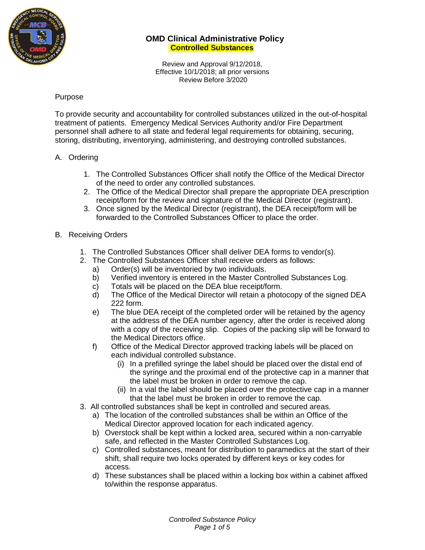

Review and Approval 9/12/2018, Effective 10/1/2018; all prior versions Review Before 3/2020

#### Purpose

To provide security and accountability for controlled substances utilized in the out-of-hospital treatment of patients. Emergency Medical Services Authority and/or Fire Department personnel shall adhere to all state and federal legal requirements for obtaining, securing, storing, distributing, inventorying, administering, and destroying controlled substances.

#### A. Ordering

- 1. The Controlled Substances Officer shall notify the Office of the Medical Director of the need to order any controlled substances.
- 2. The Office of the Medical Director shall prepare the appropriate DEA prescription receipt/form for the review and signature of the Medical Director (registrant).
- 3. Once signed by the Medical Director (registrant), the DEA receipt/form will be forwarded to the Controlled Substances Officer to place the order.

#### B. Receiving Orders

- 1. The Controlled Substances Officer shall deliver DEA forms to vendor(s).
- 2. The Controlled Substances Officer shall receive orders as follows:
	- a) Order(s) will be inventoried by two individuals.
	- b) Verified inventory is entered in the Master Controlled Substances Log.
	- c) Totals will be placed on the DEA blue receipt/form.
	- d) The Office of the Medical Director will retain a photocopy of the signed DEA 222 form.
	- e) The blue DEA receipt of the completed order will be retained by the agency at the address of the DEA number agency, after the order is received along with a copy of the receiving slip. Copies of the packing slip will be forward to the Medical Directors office.
	- f) Office of the Medical Director approved tracking labels will be placed on each individual controlled substance.
		- (i) In a prefilled syringe the label should be placed over the distal end of the syringe and the proximal end of the protective cap in a manner that the label must be broken in order to remove the cap.
		- (ii) In a vial the label should be placed over the protective cap in a manner that the label must be broken in order to remove the cap.
- 3. All controlled substances shall be kept in controlled and secured areas.
	- a) The location of the controlled substances shall be within an Office of the Medical Director approved location for each indicated agency.
	- b) Overstock shall be kept within a locked area, secured within a non-carryable safe, and reflected in the Master Controlled Substances Log.
	- c) Controlled substances, meant for distribution to paramedics at the start of their shift, shall require two locks operated by different keys or key codes for access.
	- d) These substances shall be placed within a locking box within a cabinet affixed to/within the response apparatus.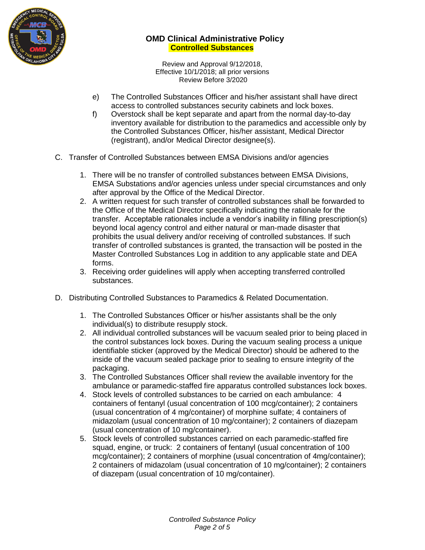

Review and Approval 9/12/2018, Effective 10/1/2018; all prior versions Review Before 3/2020

- e) The Controlled Substances Officer and his/her assistant shall have direct access to controlled substances security cabinets and lock boxes.
- f) Overstock shall be kept separate and apart from the normal day-to-day inventory available for distribution to the paramedics and accessible only by the Controlled Substances Officer, his/her assistant, Medical Director (registrant), and/or Medical Director designee(s).
- C. Transfer of Controlled Substances between EMSA Divisions and/or agencies
	- 1. There will be no transfer of controlled substances between EMSA Divisions, EMSA Substations and/or agencies unless under special circumstances and only after approval by the Office of the Medical Director.
	- 2. A written request for such transfer of controlled substances shall be forwarded to the Office of the Medical Director specifically indicating the rationale for the transfer. Acceptable rationales include a vendor's inability in filling prescription(s) beyond local agency control and either natural or man-made disaster that prohibits the usual delivery and/or receiving of controlled substances. If such transfer of controlled substances is granted, the transaction will be posted in the Master Controlled Substances Log in addition to any applicable state and DEA forms.
	- 3. Receiving order guidelines will apply when accepting transferred controlled substances.
- D. Distributing Controlled Substances to Paramedics & Related Documentation.
	- 1. The Controlled Substances Officer or his/her assistants shall be the only individual(s) to distribute resupply stock.
	- 2. All individual controlled substances will be vacuum sealed prior to being placed in the control substances lock boxes. During the vacuum sealing process a unique identifiable sticker (approved by the Medical Director) should be adhered to the inside of the vacuum sealed package prior to sealing to ensure integrity of the packaging.
	- 3. The Controlled Substances Officer shall review the available inventory for the ambulance or paramedic-staffed fire apparatus controlled substances lock boxes.
	- 4. Stock levels of controlled substances to be carried on each ambulance: 4 containers of fentanyl (usual concentration of 100 mcg/container); 2 containers (usual concentration of 4 mg/container) of morphine sulfate; 4 containers of midazolam (usual concentration of 10 mg/container); 2 containers of diazepam (usual concentration of 10 mg/container).
	- 5. Stock levels of controlled substances carried on each paramedic-staffed fire squad, engine, or truck: 2 containers of fentanyl (usual concentration of 100 mcg/container); 2 containers of morphine (usual concentration of 4mg/container); 2 containers of midazolam (usual concentration of 10 mg/container); 2 containers of diazepam (usual concentration of 10 mg/container).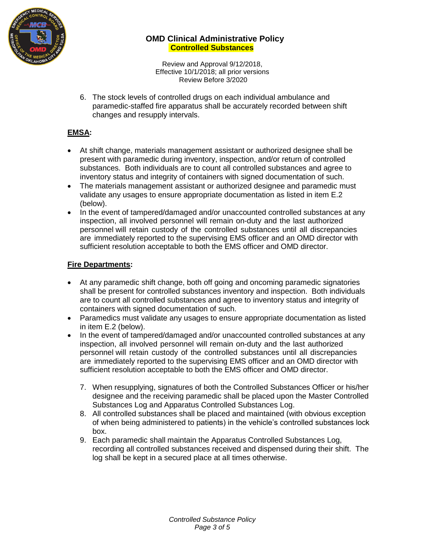

Review and Approval 9/12/2018, Effective 10/1/2018; all prior versions Review Before 3/2020

6. The stock levels of controlled drugs on each individual ambulance and paramedic-staffed fire apparatus shall be accurately recorded between shift changes and resupply intervals.

# **EMSA:**

- At shift change, materials management assistant or authorized designee shall be present with paramedic during inventory, inspection, and/or return of controlled substances. Both individuals are to count all controlled substances and agree to inventory status and integrity of containers with signed documentation of such.
- The materials management assistant or authorized designee and paramedic must validate any usages to ensure appropriate documentation as listed in item E.2 (below).
- In the event of tampered/damaged and/or unaccounted controlled substances at any inspection, all involved personnel will remain on-duty and the last authorized personnel will retain custody of the controlled substances until all discrepancies are immediately reported to the supervising EMS officer and an OMD director with sufficient resolution acceptable to both the EMS officer and OMD director.

## **Fire Departments:**

- At any paramedic shift change, both off going and oncoming paramedic signatories shall be present for controlled substances inventory and inspection. Both individuals are to count all controlled substances and agree to inventory status and integrity of containers with signed documentation of such.
- Paramedics must validate any usages to ensure appropriate documentation as listed in item E.2 (below).
- In the event of tampered/damaged and/or unaccounted controlled substances at any inspection, all involved personnel will remain on-duty and the last authorized personnel will retain custody of the controlled substances until all discrepancies are immediately reported to the supervising EMS officer and an OMD director with sufficient resolution acceptable to both the EMS officer and OMD director.
	- 7. When resupplying, signatures of both the Controlled Substances Officer or his/her designee and the receiving paramedic shall be placed upon the Master Controlled Substances Log and Apparatus Controlled Substances Log.
	- 8. All controlled substances shall be placed and maintained (with obvious exception of when being administered to patients) in the vehicle's controlled substances lock box.
	- 9. Each paramedic shall maintain the Apparatus Controlled Substances Log, recording all controlled substances received and dispensed during their shift. The log shall be kept in a secured place at all times otherwise.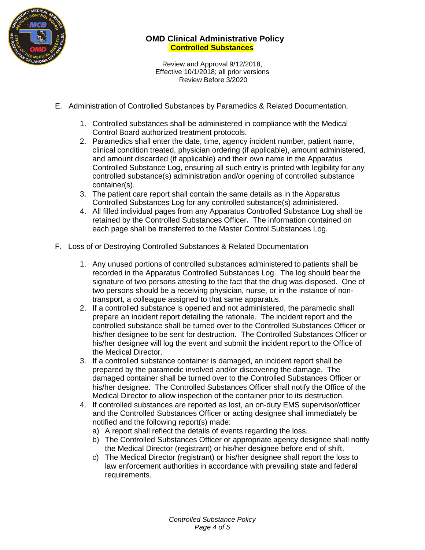

Review and Approval 9/12/2018, Effective 10/1/2018; all prior versions Review Before 3/2020

- E. Administration of Controlled Substances by Paramedics & Related Documentation.
	- 1. Controlled substances shall be administered in compliance with the Medical Control Board authorized treatment protocols.
	- 2. Paramedics shall enter the date, time, agency incident number, patient name, clinical condition treated, physician ordering (if applicable), amount administered, and amount discarded (if applicable) and their own name in the Apparatus Controlled Substance Log, ensuring all such entry is printed with legibility for any controlled substance(s) administration and/or opening of controlled substance container(s).
	- 3. The patient care report shall contain the same details as in the Apparatus Controlled Substances Log for any controlled substance(s) administered.
	- 4. All filled individual pages from any Apparatus Controlled Substance Log shall be retained by the Controlled Substances Officer**.** The information contained on each page shall be transferred to the Master Control Substances Log.
- F. Loss of or Destroying Controlled Substances & Related Documentation
	- 1. Any unused portions of controlled substances administered to patients shall be recorded in the Apparatus Controlled Substances Log. The log should bear the signature of two persons attesting to the fact that the drug was disposed. One of two persons should be a receiving physician, nurse, or in the instance of nontransport, a colleague assigned to that same apparatus.
	- 2. If a controlled substance is opened and not administered, the paramedic shall prepare an incident report detailing the rationale. The incident report and the controlled substance shall be turned over to the Controlled Substances Officer or his/her designee to be sent for destruction. The Controlled Substances Officer or his/her designee will log the event and submit the incident report to the Office of the Medical Director.
	- 3. If a controlled substance container is damaged, an incident report shall be prepared by the paramedic involved and/or discovering the damage. The damaged container shall be turned over to the Controlled Substances Officer or his/her designee. The Controlled Substances Officer shall notify the Office of the Medical Director to allow inspection of the container prior to its destruction.
	- 4. If controlled substances are reported as lost, an on-duty EMS supervisor/officer and the Controlled Substances Officer or acting designee shall immediately be notified and the following report(s) made:
		- a) A report shall reflect the details of events regarding the loss.
		- b) The Controlled Substances Officer or appropriate agency designee shall notify the Medical Director (registrant) or his/her designee before end of shift.
		- c) The Medical Director (registrant) or his/her designee shall report the loss to law enforcement authorities in accordance with prevailing state and federal requirements.